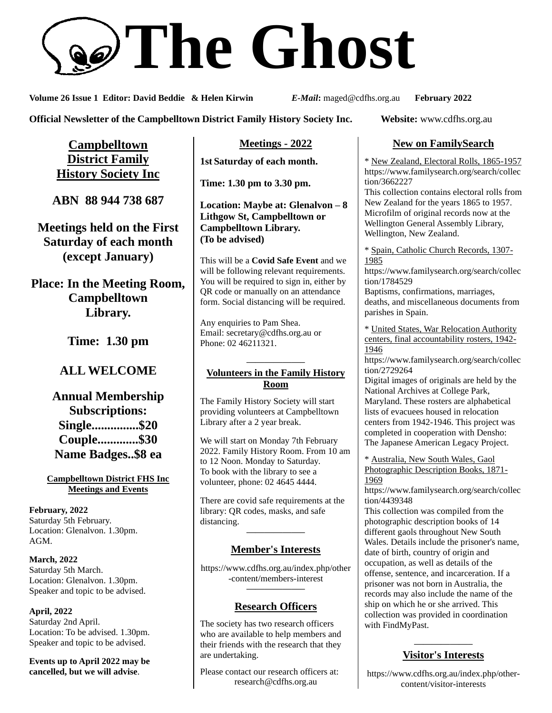

**Volume 26 Issue 1 Editor: David Beddie & Helen Kirwin** *E-Mail***:** maged@cdfhs.org.au **February 2022**

**Official Newsletter of the Campbelltown District Family History Society Inc. Website:** www.cdfhs.org.au

**Campbelltown District Family History Society Inc**

**ABN 88 944 738 687**

**Meetings held on the First Saturday of each month (except January)**

**Place: In the Meeting Room, Campbelltown Library.**

**Time: 1.30 pm**

# **ALL WELCOME**

**Annual Membership Subscriptions: Single...............\$20 Couple.............\$30 Name Badges..\$8 ea**

**Campbelltown District FHS Inc Meetings and Events**

**February, 2022** Saturday 5th February. Location: Glenalvon. 1.30pm. AGM.

**March, 2022** Saturday 5th March. Location: Glenalvon. 1.30pm. Speaker and topic to be advised.

**April, 2022** Saturday 2nd April. Location: To be advised. 1.30pm. Speaker and topic to be advised.

**Events up to April 2022 may be cancelled, but we will advise**.

**Meetings - 2022**

**1st Saturday of each month.**

**Time: 1.30 pm to 3.30 pm.**

**Location: Maybe at: Glenalvon – 8 Lithgow St, Campbelltown or Campbelltown Library. (To be advised)**

This will be a **Covid Safe Event** and we will be following relevant requirements. You will be required to sign in, either by QR code or manually on an attendance form. Social distancing will be required.

Any enquiries to Pam Shea. Email: [secretary@cdfhs.org.au](mailto:secretary@cdfhs.org.au) or Phone: 02 46211321.

#### **——————– Volunteers in the Family History Room**

The Family History Society will start providing volunteers at Campbelltown Library after a 2 year break.

We will start on Monday 7th February 2022. Family History Room. From 10 am to 12 Noon. Monday to Saturday. To book with the library to see a volunteer, phone: 02 4645 4444.

There are covid safe requirements at the library: QR codes, masks, and safe distancing.

# **——————– Member's Interests**

https://www.cdfhs.org.au/index.php/other -content/members-interest **——————–**

# **Research Officers**

The society has two research officers who are available to help members and their friends with the research that they are undertaking.

Please contact our research officers at: research@cdfhs.org.au

# **New on FamilySearch**

\* New Zealand, Electoral Rolls, 1865-1957 https://www.familysearch.org/search/collec tion/3662227

This collection contains electoral rolls from New Zealand for the years 1865 to 1957. Microfilm of original records now at the Wellington General Assembly Library, Wellington, New Zealand.

\* Spain, Catholic Church Records, 1307- 1985

https://www.familysearch.org/search/collec tion/1784529

Baptisms, confirmations, marriages, deaths, and miscellaneous documents from parishes in Spain.

\* United States, War Relocation Authority centers, final accountability rosters, 1942- 1946

https://www.familysearch.org/search/collec tion/2729264

Digital images of originals are held by the National Archives at College Park, Maryland. These rosters are alphabetical lists of evacuees housed in relocation centers from 1942-1946. This project was completed in cooperation with Densho: The Japanese American Legacy Project.

\* Australia, New South Wales, Gaol Photographic Description Books, 1871- 1969

https://www.familysearch.org/search/collec tion/4439348

This collection was compiled from the photographic description books of 14 different gaols throughout New South Wales. Details include the prisoner's name, date of birth, country of origin and occupation, as well as details of the offense, sentence, and incarceration. If a prisoner was not born in Australia, the records may also include the name of the ship on which he or she arrived. This collection was provided in coordination with FindMyPast.

#### **——————– Visitor's Interests**

https://www.cdfhs.org.au/index.php/othercontent/visitor-interests